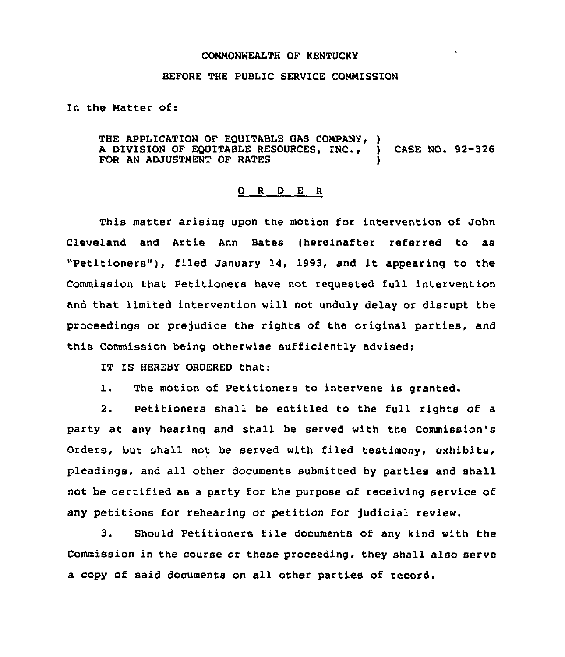## COMMONWEALTH OF KENTUCKY

## BEFORE THE PUBLIC SERVICE COMMISSION

In the Matter of:

THE APPLICATION OF EQUITABLE GAS COMPANY, ) A DIVISION OF EQUITABLE RESOURCES, INC., ) CASE NO. 92-326 FOR AN ADJUSTMENT OF RATES

## 0 <sup>R</sup> <sup>D</sup> <sup>E</sup> <sup>R</sup>

This matter arising upon the motion for intervention of John Cleveland and Artie Ann Bates (hereinafter referred to as "Petitioners"), filed January 14, 1993, and it appearing to the Commission that Petitioners have not requested full intervention and that limited intervention will not unduly delay or disrupt the proceedings or prejudice the rights of the original parties, and this Commission being otherwise sufficiently advised;

IT IS HEREBY ORDERED that:

l. The motion of Petitioners to intervene is granted.

2. Petitioners shall be entitled to the full rights of a party at any hearing and shall be served with the Commission's Orders, but shall not be served with filed testimony, exhibits, pleadings, and all other documents submitted by parties and shall not be certified as a party for the purpose of receiving service of any petitions for rehearing or petition for judicial review.

3. Should Petitioners file documents of any kind with the Commission in the course of these proceeding, they shall also serve a copy of said documents on all other parties of record.